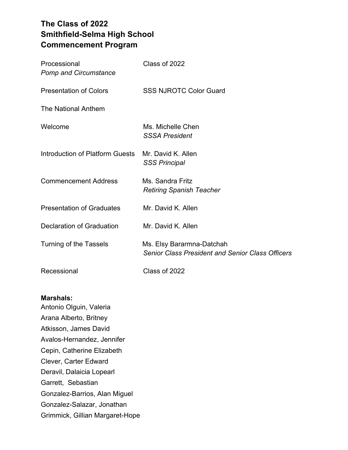# **The Class of 2022 Smithfield-Selma High School Commencement Program**

| Processional<br><b>Pomp and Circumstance</b> | Class of 2022                                                                        |
|----------------------------------------------|--------------------------------------------------------------------------------------|
| <b>Presentation of Colors</b>                | <b>SSS NJROTC Color Guard</b>                                                        |
| The National Anthem                          |                                                                                      |
| Welcome                                      | Ms. Michelle Chen<br><b>SSSA President</b>                                           |
| Introduction of Platform Guests              | Mr. David K. Allen<br><b>SSS Principal</b>                                           |
| <b>Commencement Address</b>                  | Ms. Sandra Fritz<br><b>Retiring Spanish Teacher</b>                                  |
| <b>Presentation of Graduates</b>             | Mr. David K. Allen                                                                   |
| <b>Declaration of Graduation</b>             | Mr. David K. Allen                                                                   |
| <b>Turning of the Tassels</b>                | Ms. Elsy Bararmna-Datchah<br><b>Senior Class President and Senior Class Officers</b> |
| Recessional                                  | Class of 2022                                                                        |

## **Marshals:**

Antonio Olguin, Valeria Arana Alberto, Britney Atkisson, James David Avalos-Hernandez, Jennifer Cepin, Catherine Elizabeth Clever, Carter Edward Deravil, Dalaicia Lopearl Garrett, Sebastian Gonzalez-Barrios, Alan Miguel Gonzalez-Salazar, Jonathan Grimmick, Gillian Margaret-Hope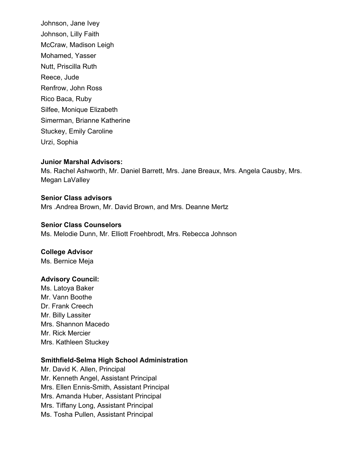Johnson, Jane Ivey Johnson, Lilly Faith McCraw, Madison Leigh Mohamed, Yasser Nutt, Priscilla Ruth Reece, Jude Renfrow, John Ross Rico Baca, Ruby Silfee, Monique Elizabeth Simerman, Brianne Katherine Stuckey, Emily Caroline Urzi, Sophia

#### **Junior Marshal Advisors:**

Ms. Rachel Ashworth, Mr. Daniel Barrett, Mrs. Jane Breaux, Mrs. Angela Causby, Mrs. Megan LaValley

**Senior Class advisors** Mrs .Andrea Brown, Mr. David Brown, and Mrs. Deanne Mertz

**Senior Class Counselors** Ms. Melodie Dunn, Mr. Elliott Froehbrodt, Mrs. Rebecca Johnson

**College Advisor** Ms. Bernice Meja

#### **Advisory Council:**

Ms. Latoya Baker Mr. Vann Boothe Dr. Frank Creech Mr. Billy Lassiter Mrs. Shannon Macedo Mr. Rick Mercier Mrs. Kathleen Stuckey

## **Smithfield-Selma High School Administration**

Mr. David K. Allen, Principal Mr. Kenneth Angel, Assistant Principal Mrs. Ellen Ennis-Smith, Assistant Principal Mrs. Amanda Huber, Assistant Principal Mrs. Tiffany Long, Assistant Principal Ms. Tosha Pullen, Assistant Principal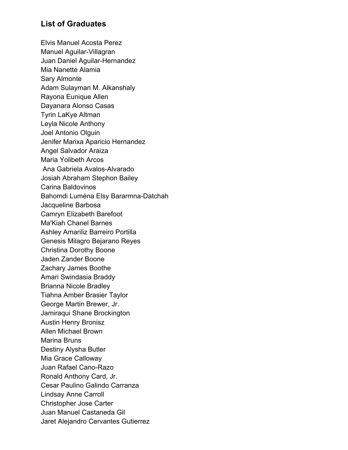# **List of Graduates**

Elvis Manuel Acosta Perez Manuel Aguilar-Villagran Juan Daniel Aguilar-Hernandez Mia Nanette Alamia Sary Almonte Adam Sulayman M. Alkanshaly Rayona Eunique Allen Dayanara Alonso Casas Tyrin LaKye Altman Leyla Nicole Anthony Joel Antonio Olguin Jenifer Marixa Aparicio Hernandez Angel Salvador Araiza Maria Yolibeth Arcos Ana Gabriela Avalos-Alvarado Josiah Abraham Stephon Bailey Carina Baldovinos Bahomdi Luména Elsy Bararmna-Datchah Jacqueline Barbosa Camryn Elizabeth Barefoot Ma'Kiah Chanel Barnes Ashley Amariliz Barreiro Portilla Genesis Milagro Bejarano Reyes Christina Dorothy Boone Jaden Zander Boone Zachary James Boothe Amari Swindasia Braddy Brianna Nicole Bradley Tiahna Amber Brasier Taylor George Martin Brewer, Jr. Jamiraqui Shane Brockington Austin Henry Bronisz Allen Michael Brown Marina Bruns Destiny Alysha Butler Mia Grace Calloway Juan Rafael Cano-Razo Ronald Anthony Card, Jr. Cesar Paulino Galindo Carranza Lindsay Anne Carroll Christopher Jose Carter Juan Manuel Castaneda Gil Jaret Alejandro Cervantes Gutierrez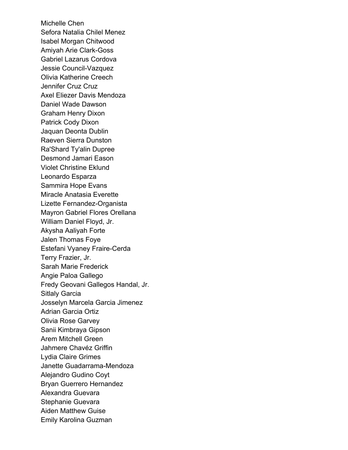Michelle Chen Sefora Natalia Chilel Menez Isabel Morgan Chitwood Amiyah Arie Clark-Goss Gabriel Lazarus Cordova Jessie Council-Vazquez Olivia Katherine Creech Jennifer Cruz Cruz Axel Eliezer Davis Mendoza Daniel Wade Dawson Graham Henry Dixon Patrick Cody Dixon Jaquan Deonta Dublin Raeven Sierra Dunston Ra'Shard Ty'alin Dupree Desmond Jamari Eason Violet Christine Eklund Leonardo Esparza Sammira Hope Evans Miracle Anatasia Everette Lizette Fernandez-Organista Mayron Gabriel Flores Orellana William Daniel Floyd, Jr. Akysha Aaliyah Forte Jalen Thomas Foye Estefani Vyaney Fraire-Cerda Terry Frazier, Jr. Sarah Marie Frederick Angie Paloa Gallego Fredy Geovani Gallegos Handal, Jr. Sitlaly Garcia Josselyn Marcela Garcia Jimenez Adrian Garcia Ortiz Olivia Rose Garvey Sanii Kimbraya Gipson Arem Mitchell Green Jahmere Chavéz Griffin Lydia Claire Grimes Janette Guadarrama-Mendoza Alejandro Gudino Coyt Bryan Guerrero Hernandez Alexandra Guevara Stephanie Guevara Aiden Matthew Guise Emily Karolina Guzman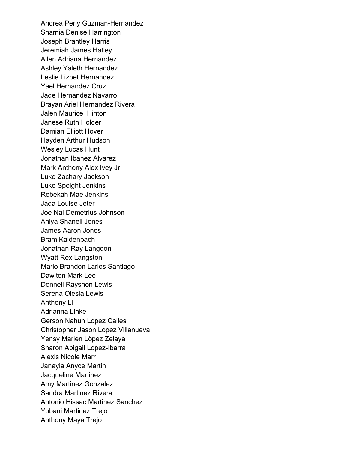Andrea Perly Guzman-Hernandez Shamia Denise Harrington Joseph Brantley Harris Jeremiah James Hatley Ailen Adriana Hernandez Ashley Yaleth Hernandez Leslie Lizbet Hernandez Yael Hernandez Cruz Jade Hernandez Navarro Brayan Ariel Hernandez Rivera Jalen Maurice Hinton Janese Ruth Holder Damian Elliott Hover Hayden Arthur Hudson Wesley Lucas Hunt Jonathan Ibanez Alvarez Mark Anthony Alex Ivey Jr Luke Zachary Jackson Luke Speight Jenkins Rebekah Mae Jenkins Jada Louise Jeter Joe Nai Demetrius Johnson Aniya Shanell Jones James Aaron Jones Bram Kaldenbach Jonathan Ray Langdon Wyatt Rex Langston Mario Brandon Larios Santiago Dawlton Mark Lee Donnell Rayshon Lewis Serena Olesia Lewis Anthony Li Adrianna Linke Gerson Nahun Lopez Calles Christopher Jason Lopez Villanueva Yensy Marien Lòpez Zelaya Sharon Abigail Lopez-Ibarra Alexis Nicole Marr Janayia Anyce Martin Jacqueline Martinez Amy Martinez Gonzalez Sandra Martinez Rivera Antonio Hissac Martinez Sanchez Yobani Martinez Trejo Anthony Maya Trejo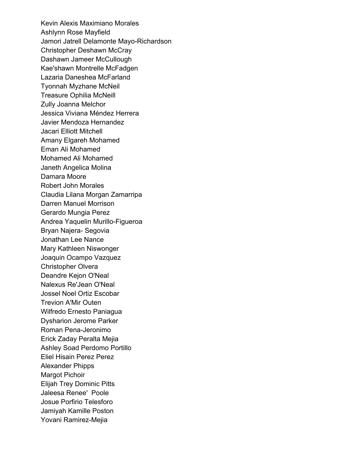Kevin Alexis Maximiano Morales Ashlynn Rose Mayfield Jamori Jatrell Delamonte Mayo-Richardson Christopher Deshawn McCray Dashawn Jameer McCullough Kae'shawn Montrelle McFadgen Lazaria Daneshea McFarland Tyonnah Myzhane McNeil Treasure Ophilia McNeill Zully Joanna Melchor Jessica Viviana Méndez Herrera Javier Mendoza Hernandez Jacari Elliott Mitchell Amany Elgareh Mohamed Eman Ali Mohamed Mohamed Ali Mohamed Janeth Angelica Molina Damara Moore Robert John Morales Claudia Lilana Morgan Zamarripa Darren Manuel Morrison Gerardo Mungia Perez Andrea Yaquelin Murillo-Figueroa Bryan Najera- Segovia Jonathan Lee Nance Mary Kathleen Niswonger Joaquin Ocampo Vazquez Christopher Olvera Deandre Kejon O'Neal Nalexus Re'Jean O'Neal Jossel Noel Ortiz Escobar Trevion A'Mir Outen Wilfredo Ernesto Paniagua Dysharion Jerome Parker Roman Pena-Jeronimo Erick Zaday Peralta Mejia Ashley Soad Perdomo Portillo Eliel Hisain Perez Perez Alexander Phipps Margot Pichoir Elijah Trey Dominic Pitts Jaleesa Renee' Poole Josue Porfirio Telesforo Jamiyah Kamille Poston Yovani Ramirez-Mejia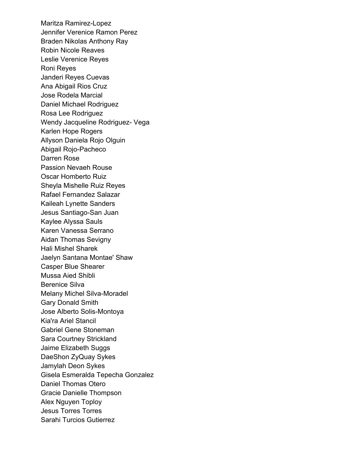Maritza Ramirez-Lopez Jennifer Verenice Ramon Perez Braden Nikolas Anthony Ray Robin Nicole Reaves Leslie Verenice Reyes Roni Reyes Janderi Reyes Cuevas Ana Abigail Rios Cruz Jose Rodela Marcial Daniel Michael Rodriguez Rosa Lee Rodriguez Wendy Jacqueline Rodriguez- Vega Karlen Hope Rogers Allyson Daniela Rojo Olguin Abigail Rojo-Pacheco Darren Rose Passion Nevaeh Rouse Oscar Homberto Ruiz Sheyla Mishelle Ruiz Reyes Rafael Fernandez Salazar Kaileah Lynette Sanders Jesus Santiago-San Juan Kaylee Alyssa Sauls Karen Vanessa Serrano Aidan Thomas Sevigny Hali Mishel Sharek Jaelyn Santana Montae' Shaw Casper Blue Shearer Mussa Aied Shibli Berenice Silva Melany Michel Silva-Moradel Gary Donald Smith Jose Alberto Solis-Montoya Kia'ra Ariel Stancil Gabriel Gene Stoneman Sara Courtney Strickland Jaime Elizabeth Suggs DaeShon ZyQuay Sykes Jamylah Deon Sykes Gisela Esmeralda Tepecha Gonzalez Daniel Thomas Otero Gracie Danielle Thompson Alex Nguyen Toploy Jesus Torres Torres Sarahi Turcios Gutierrez